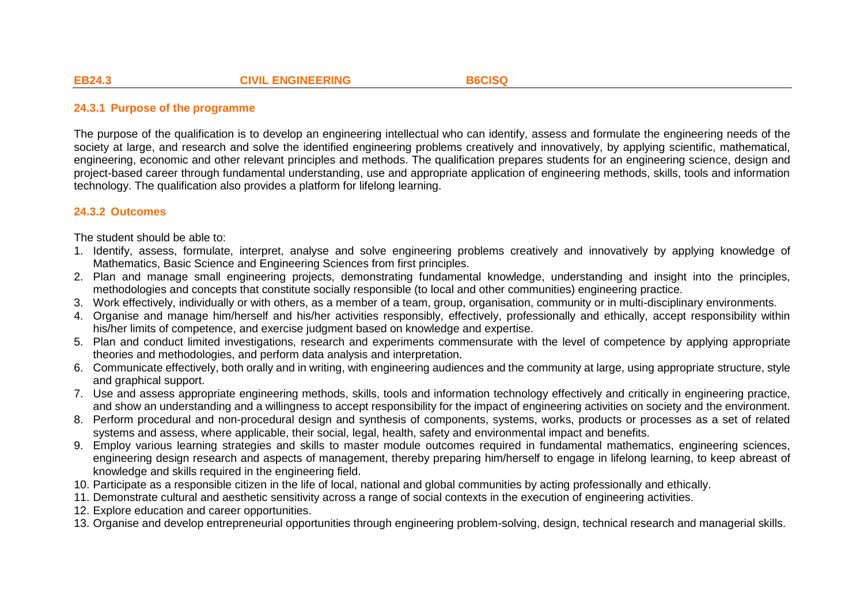## **24.3.1 Purpose of the programme**

The purpose of the qualification is to develop an engineering intellectual who can identify, assess and formulate the engineering needs of the society at large, and research and solve the identified engineering problems creatively and innovatively, by applying scientific, mathematical, engineering, economic and other relevant principles and methods. The qualification prepares students for an engineering science, design and project-based career through fundamental understanding, use and appropriate application of engineering methods, skills, tools and information technology. The qualification also provides a platform for lifelong learning.

# **24.3.2 Outcomes**

The student should be able to:

- 1. Identify, assess, formulate, interpret, analyse and solve engineering problems creatively and innovatively by applying knowledge of Mathematics, Basic Science and Engineering Sciences from first principles.
- 2. Plan and manage small engineering projects, demonstrating fundamental knowledge, understanding and insight into the principles, methodologies and concepts that constitute socially responsible (to local and other communities) engineering practice.
- 3. Work effectively, individually or with others, as a member of a team, group, organisation, community or in multi-disciplinary environments.
- 4. Organise and manage him/herself and his/her activities responsibly, effectively, professionally and ethically, accept responsibility within his/her limits of competence, and exercise judgment based on knowledge and expertise.
- 5. Plan and conduct limited investigations, research and experiments commensurate with the level of competence by applying appropriate theories and methodologies, and perform data analysis and interpretation.
- 6. Communicate effectively, both orally and in writing, with engineering audiences and the community at large, using appropriate structure, style and graphical support.
- 7. Use and assess appropriate engineering methods, skills, tools and information technology effectively and critically in engineering practice, and show an understanding and a willingness to accept responsibility for the impact of engineering activities on society and the environment.
- 8. Perform procedural and non-procedural design and synthesis of components, systems, works, products or processes as a set of related systems and assess, where applicable, their social, legal, health, safety and environmental impact and benefits.
- 9. Employ various learning strategies and skills to master module outcomes required in fundamental mathematics, engineering sciences, engineering design research and aspects of management, thereby preparing him/herself to engage in lifelong learning, to keep abreast of knowledge and skills required in the engineering field.
- 10. Participate as a responsible citizen in the life of local, national and global communities by acting professionally and ethically.
- 11. Demonstrate cultural and aesthetic sensitivity across a range of social contexts in the execution of engineering activities.
- 12. Explore education and career opportunities.
- 13. Organise and develop entrepreneurial opportunities through engineering problem-solving, design, technical research and managerial skills.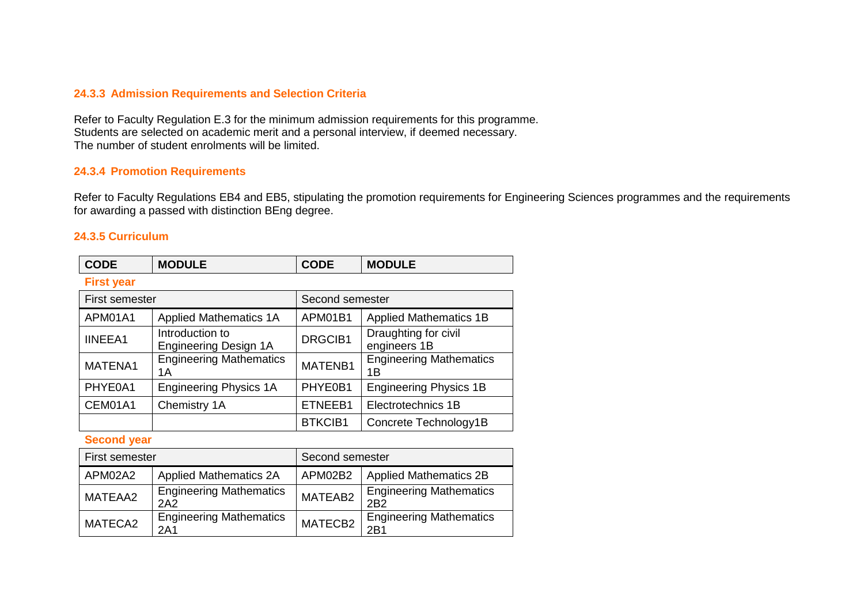# **24.3.3 Admission Requirements and Selection Criteria**

Refer to Faculty Regulation E.3 for the minimum admission requirements for this programme. Students are selected on academic merit and a personal interview, if deemed necessary. The number of student enrolments will be limited.

## **24.3.4 Promotion Requirements**

Refer to Faculty Regulations EB4 and EB5, stipulating the promotion requirements for Engineering Sciences programmes and the requirements for awarding a passed with distinction BEng degree.

### **24.3.5 Curriculum**

| <b>CODE</b>       | <b>MODULE</b>                                   | <b>CODE</b>     | <b>MODULE</b>                        |
|-------------------|-------------------------------------------------|-----------------|--------------------------------------|
| <b>First year</b> |                                                 |                 |                                      |
| First semester    |                                                 | Second semester |                                      |
| APM01A1           | <b>Applied Mathematics 1A</b>                   | APM01B1         | <b>Applied Mathematics 1B</b>        |
| <b>IINEEA1</b>    | Introduction to<br><b>Engineering Design 1A</b> | DRGCIB1         | Draughting for civil<br>engineers 1B |
| MATENA1           | <b>Engineering Mathematics</b><br>1А            | MATENB1         | <b>Engineering Mathematics</b><br>1Β |
| PHYE0A1           | <b>Engineering Physics 1A</b>                   | PHYE0B1         | <b>Engineering Physics 1B</b>        |
| CEM01A1           | Chemistry 1A                                    | ETNEEB1         | Electrotechnics 1B                   |
|                   |                                                 | <b>BTKCIB1</b>  | Concrete Technology1B                |

# **Second year**

| First semester |                                                   | Second semester |                                                    |
|----------------|---------------------------------------------------|-----------------|----------------------------------------------------|
| APM02A2        | <b>Applied Mathematics 2A</b>                     | APM02B2         | <b>Applied Mathematics 2B</b>                      |
| MATEAA2        | <b>Engineering Mathematics</b><br>2A <sub>2</sub> | MATEAB2         | <b>Engineering Mathematics</b><br>2B <sub>2</sub>  |
| MATECA2        | <b>Engineering Mathematics</b><br>2A1             | MATECB2         | <b>Engineering Mathematics</b><br>2 <sub>B</sub> 1 |